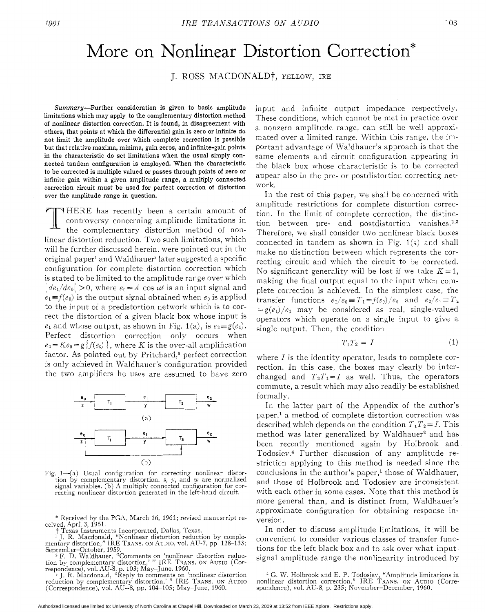## More on Nonlinear Distortion Correction\*

J. ROSS MACDONALD<sup>†</sup>, FELLOW, IRE

Summary-Further consideration is given to basic amplitude limitations which may apply to the complementary distortion method of nonlinear distortion correction. It is found, in disagreement with others, that points at which the differential gain is zero or infinite do not limit the amplitude over which complete correction is possible but that relative maxima, minima, gain zeros, and infinite-gain points in the characteristic do set limitations when the usual simply connected tandem configuration is employed. When the characteristic to be corrected is multiple valued or passes through points of zero or infinite gain within a given amplitude range, a multiply connected correction circuit must be used for perfect correction of distortion over the amplitude range in question.

THERE has recently been a certain amount of controversy concerning amplitude limitations in the complementary distortion method of noncontroversy concerning amplitude limitations in the complementary distortion method of nonlinear distortion reduction. Two such limitations, which will be further discussed herein, were pointed out in the original paper<sup>1</sup> and Waldhauer<sup>2</sup> later suggested a specific configuration for complete distortion correction which is stated to be limited to the amplitude range over which  $|de_1/de_0|>0$ , where  $e_0=A$  cos  $\omega t$  is an input signal and  $e_1 \equiv f(e_0)$  is the output signal obtained when  $e_0$  is applied to the input of a predistortion network which is to correct the distortion of a given black box whose input is  $e_1$  and whose output, as shown in Fig. 1(a), is  $e_2 \equiv g(e_1)$ . Perfect distortion correction only occurs when  $e_2 = Ke_0 = g\{f(e_0)\}\$ , where *K* is the over-all amplification factor. As pointed out by Pritchard,<sup>8</sup> perfect correction is only achieved in Waldhauer's configuration provided the two amplifiers he uses are assumed to have zero



Fig. 1-(a) Usual configuration for correcting nonlinear distortion by complementary distortion. *z,* y, and *w* are normalized signal variables. (b) A multiply connected configuration for correcting nonlinear distortion generated in the left-hand circuit.

ceived, April 3, 1961. \* Received by the PGA, March 16, 1961; revised manuscript re-

t Texas Instruments Incorporated, Dallas, Texas.<br><sup>1</sup> J. R. Macdonald, "Nonlinear distortion reduction by complementary distortion," IRE TRANS. ON AUDIO, vol. AU-7, pp. 128–133;<br>September–October, 1959.

<sup>2</sup> F. D. Waldhauer, "Comments on 'nonlinear distortion reduction by complementary distortion,' " IRE TRANS. ON AUDIO (Correspondence), vol. AU-8, p. 103; May-June, 1960.<br>
<sup>2</sup> J. R. Macdonald, "Reply to comments on 'nonlin

input and infinite output impedance respectively. These conditions, which cannot be met in practice over a nonzero amplitude range, can still be well approximated over a limited range. Within this range, the important advantage of Waldhauer's approach is that the same elements and circuit configuration appearing in the black box whose characteristic is to be corrected appear also in the pre- or postdistortion correcting network.

In the rest of this paper, we shall be concerned with amplitude restrictions for complete distortion correction. In the limit of complete correction, the distinction between pre- and postdistortion vanishes. $2,3$ Therefore, we shall consider two nonlinear black boxes connected in tandem as shown in Fig. l(a) and shall make no distinction between which represents the correcting circuit and which the circuit to be corrected. No significant generality will be lost if we take  $K = 1$ , making the final output equal to the input when complete correction is achieved. In the simplest case, the transfer functions  $e_1/e_0 \equiv T_1 = f(e_0)/e_0$  and  $e_2/e_1 \equiv T_2$  $=g(e_1)/e_1$  may be considered as real, single-valued operators which operate on a single input to give a single output. Then, the condition

$$
T_1 T_2 = I \tag{1}
$$

where *I* is the identity operator, leads to complete correction. In this case, the boxes may clearly be interchanged and  $T_2T_1=I$  as well. Thus, the operators commute, a result which may also readily be established formally.

In the latter part of the Appendix of the author's paper,' a method of complete distortion correction mas described which depends on the condition  $T_1T_2 = I$ . This method was later generalized by Waldhauer<sup>2</sup> and has been recently mentioned again by Holbrook and Todosiev.<sup>4</sup> Further discussion of any amplitude restriction applying to this method is needed since the conclusions in the author's paper,<sup>1</sup> those of Waldhauer, and those of Holbrook and Todosiev are inconsistent with each other in some cases. Note that this method is more general than, and is distinct from, Waldhauer's approximate configuration for obtaining response inversion.

In order to discuss amplitude limitations, it will be convenient to consider various classes of transfer functions for the left black box and to ask over what inputsignal amplitude range the nonlinearity introduced by

Authorized licensed use limited to: University of North Carolina at Chapel Hill. Downloaded on March 23, 2009 at 13:52 from IEEE Xplore. Restrictions apply.

nonlinear distortion correction," IRE TRANS. ON AUDIO (Corre-<sup>4</sup> G. W. Holbrook and E. P. Todosiev, "Amplitude limitations in spondence), vol. AU-8, p. 235; November-December, 1960.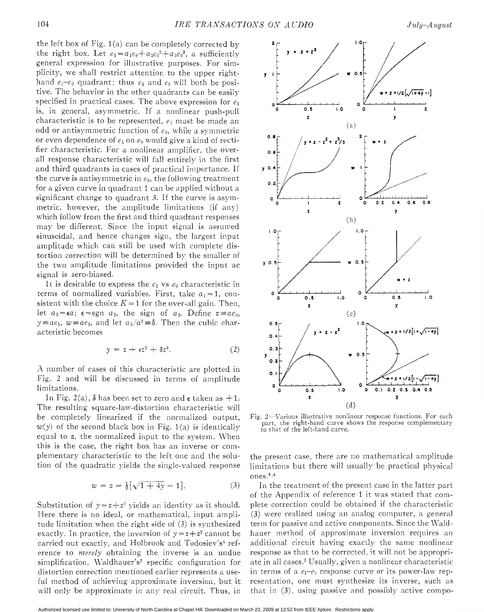the left box of Fig.  $1(a)$  can be completely corrected by the right box. Let  $e_1 = a_1e_0 + a_2e_0^2 + a_3e_0^3$ , a sufficiently general expression for illustrative purposes. For simplicity, we shall restrict attention to the upper righthand  $e_1-e_0$  quadrant; thus  $e_1$  and  $e_0$  will both be positive. The behavior in the other quadrants can be easily specified in practical cases. The above expression for  $e_1$ is, in general, asymmetric. If a nonlinear push-pull characteristic is to be represented,  $e_1$  must be made an odd or antisymmetric function of  $e_0$ , while a symmetric or even dependence of  $e_1$  on  $e_0$  would give a kind of rectifier characteristic. For a nonlinear amplifier, the overall response characteristic will fall entirely in the first and third quadrants in cases of practical importance. If the curve is antisymmetric in  $e_0$ , the following treatment for a given curve in quadrant 1 can be applied without a significant change to quadrant 3. If the curve is asymmetric, however, the amplitude limitations (if any) which follow from the first and third quadrant responses may be different. Since the input signal is assumed sinusoidal, and hence changes sign, the largest input amplitude which can still be used with complete distortion correction will be determined by the smaller of the two amplitude limitations provided the input ac signal is zero-biased.

It is desirable to express the  $e_1$  vs  $e_0$  characteristic in terms of normalized variables. First, take  $a_1 = 1$ , consistent with the choice  $K = 1$  for the over-all gain. Then, let  $a_2 = \epsilon a$ ;  $\epsilon = \text{sgn } a_2$ , the sign of  $a_2$ . Define  $z \equiv ae_0$ ,  $y \equiv ae_1$ ,  $w \equiv ae_2$ , and let  $a_3/a^2 \equiv \delta$ . Then the cubic characteristic becomes

$$
y = z + \epsilon z^2 + \delta z^3. \tag{2}
$$

A number of cases of this characteristic are plotted in Fig. 2 and mill be discussed in terms of amplitude limitations.

In Fig. 2(a),  $\delta$  has been set to zero and  $\epsilon$  taken as  $+1$ . The resulting square-law-distortion characteristic mill be completely linearized if the normalized output,  $w(y)$  of the second black box in Fig. 1(a) is identically equal to *z,* the normalized input to the system. When this is the case, the right box has an inverse or complementary characteristic to the left one and the solution of the quadratic yields the single-valued response

$$
w = z = \frac{1}{2} [\sqrt{1 + 4y} - 1]. \tag{3}
$$

Substitution of  $y = z + z^2$  yields an identity as it should. Here there is no ideal, or mathematical, input amplitude limitation when the right side of (3) is synthesized exactly. In practice, the inversion of  $y = z + z^2$  cannot be carried out exactly, and Holbrook and Todosiev's<sup>4</sup> reference to *merely* obtaining the inverse is an undue simplification. Waldhauer's<sup>2</sup> specific configuration for distortion correction mentioned earlier represents a useful method of achieving approximate inversion, but it will only be approximate in any real circuit. Thus, in



Fig. 2-Various illustrative nonlinear response functions. For each part, the right-hand curve shows the response complementary to that of the left-hand curve.

the present case, there are no mathematical amplitude limitations but there will usually be practical physical  $ones.<sup>3,4</sup>$ 

**In** the treatment of the present case in the latter part of the Appendix of reference 1 it mas stated that complete correction could be obtained if the Characteristic (3) were realized using an analog computer, a general term for passive and active components. Since the Waldhauer method of approximate inversion requires an additional circuit having exactly the same nonlinear response as that to be corrected, it will not be appropriate in all cases.3 Usually, given a nonlinear characteristic in terms of a  $e_1-e_0$  response curve or its power-law representation, one must synthesize its inverse, such as that in *(3),* using passive and possibly active compo